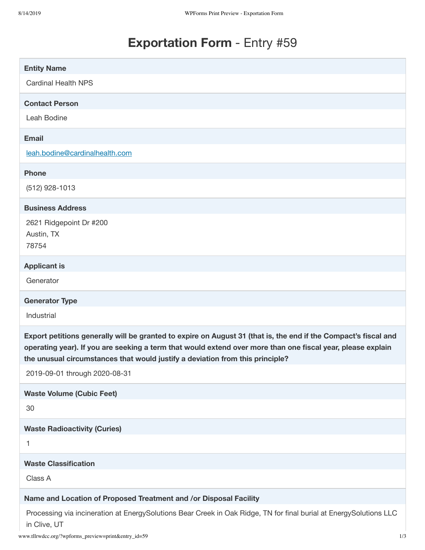# **Exportation Form** - Entry #59

| <b>Entity Name</b>                                                                                                                                                                                                                                                                                              |
|-----------------------------------------------------------------------------------------------------------------------------------------------------------------------------------------------------------------------------------------------------------------------------------------------------------------|
| <b>Cardinal Health NPS</b>                                                                                                                                                                                                                                                                                      |
| <b>Contact Person</b>                                                                                                                                                                                                                                                                                           |
| Leah Bodine                                                                                                                                                                                                                                                                                                     |
| <b>Email</b>                                                                                                                                                                                                                                                                                                    |
| leah.bodine@cardinalhealth.com                                                                                                                                                                                                                                                                                  |
| <b>Phone</b>                                                                                                                                                                                                                                                                                                    |
| $(512)$ 928-1013                                                                                                                                                                                                                                                                                                |
| <b>Business Address</b>                                                                                                                                                                                                                                                                                         |
| 2621 Ridgepoint Dr #200                                                                                                                                                                                                                                                                                         |
| Austin, TX<br>78754                                                                                                                                                                                                                                                                                             |
|                                                                                                                                                                                                                                                                                                                 |
| <b>Applicant is</b>                                                                                                                                                                                                                                                                                             |
| Generator                                                                                                                                                                                                                                                                                                       |
|                                                                                                                                                                                                                                                                                                                 |
| <b>Generator Type</b>                                                                                                                                                                                                                                                                                           |
| Industrial                                                                                                                                                                                                                                                                                                      |
| Export petitions generally will be granted to expire on August 31 (that is, the end if the Compact's fiscal and<br>operating year). If you are seeking a term that would extend over more than one fiscal year, please explain<br>the unusual circumstances that would justify a deviation from this principle? |
| 2019-09-01 through 2020-08-31                                                                                                                                                                                                                                                                                   |
| <b>Waste Volume (Cubic Feet)</b>                                                                                                                                                                                                                                                                                |
| 30                                                                                                                                                                                                                                                                                                              |
| <b>Waste Radioactivity (Curies)</b>                                                                                                                                                                                                                                                                             |
| 1                                                                                                                                                                                                                                                                                                               |
| <b>Waste Classification</b>                                                                                                                                                                                                                                                                                     |
| Class A                                                                                                                                                                                                                                                                                                         |
| Name and Location of Proposed Treatment and /or Disposal Facility                                                                                                                                                                                                                                               |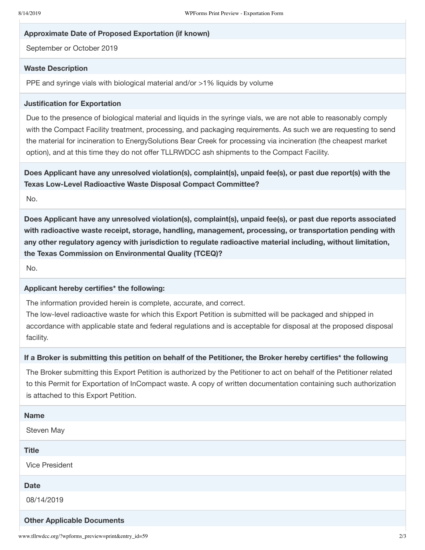#### **Approximate Date of Proposed Exportation (if known)**

September or October 2019

## **Waste Description**

PPE and syringe vials with biological material and/or >1% liquids by volume

#### **Justification for Exportation**

Due to the presence of biological material and liquids in the syringe vials, we are not able to reasonably comply with the Compact Facility treatment, processing, and packaging requirements. As such we are requesting to send the material for incineration to EnergySolutions Bear Creek for processing via incineration (the cheapest market option), and at this time they do not offer TLLRWDCC ash shipments to the Compact Facility.

**Does Applicant have any unresolved violation(s), complaint(s), unpaid fee(s), or past due report(s) with the Texas Low-Level Radioactive Waste Disposal Compact Committee?**

No.

**Does Applicant have any unresolved violation(s), complaint(s), unpaid fee(s), or past due reports associated with radioactive waste receipt, storage, handling, management, processing, or transportation pending with any other regulatory agency with jurisdiction to regulate radioactive material including, without limitation, the Texas Commission on Environmental Quality (TCEQ)?**

No.

#### **Applicant hereby certifies\* the following:**

The information provided herein is complete, accurate, and correct.

The low-level radioactive waste for which this Export Petition is submitted will be packaged and shipped in accordance with applicable state and federal regulations and is acceptable for disposal at the proposed disposal facility.

## If a Broker is submitting this petition on behalf of the Petitioner, the Broker hereby certifies\* the following

The Broker submitting this Export Petition is authorized by the Petitioner to act on behalf of the Petitioner related to this Permit for Exportation of InCompact waste. A copy of written documentation containing such authorization is attached to this Export Petition.

| <b>Name</b>                       |
|-----------------------------------|
| Steven May                        |
| <b>Title</b>                      |
| <b>Vice President</b>             |
| <b>Date</b>                       |
| 08/14/2019                        |
| <b>Other Applicable Documents</b> |